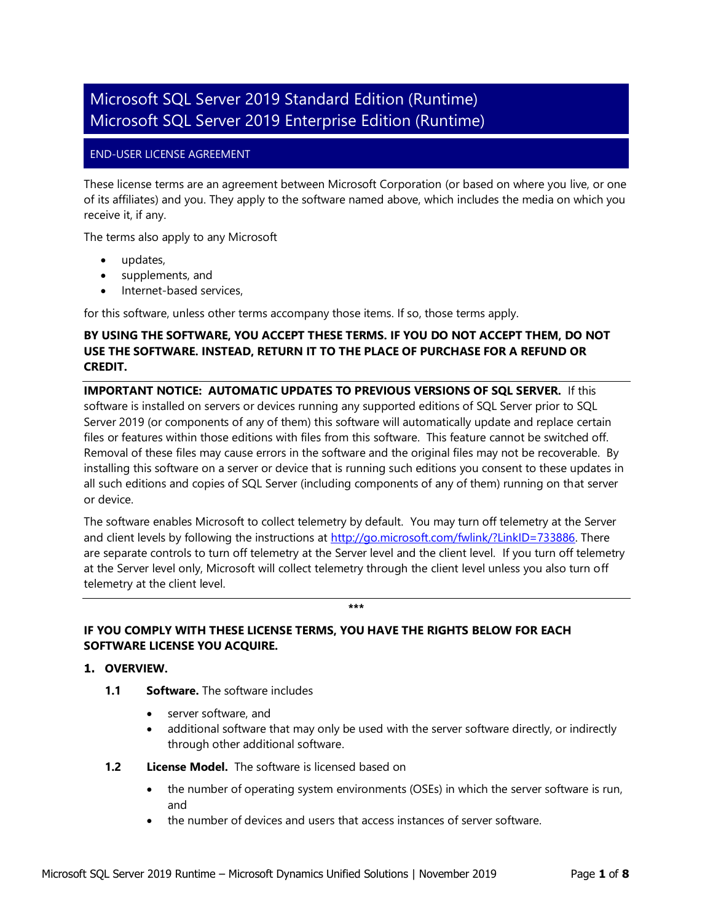# Microsoft SQL Server 2019 Standard Edition (Runtime) Microsoft SQL Server 2019 Enterprise Edition (Runtime)

# END-USER LICENSE AGREEMENT

These license terms are an agreement between Microsoft Corporation (or based on where you live, or one of its affiliates) and you. They apply to the software named above, which includes the media on which you receive it, if any.

The terms also apply to any Microsoft

- updates,
- supplements, and
- Internet-based services,

for this software, unless other terms accompany those items. If so, those terms apply.

# **BY USING THE SOFTWARE, YOU ACCEPT THESE TERMS. IF YOU DO NOT ACCEPT THEM, DO NOT USE THE SOFTWARE. INSTEAD, RETURN IT TO THE PLACE OF PURCHASE FOR A REFUND OR CREDIT.**

**IMPORTANT NOTICE: AUTOMATIC UPDATES TO PREVIOUS VERSIONS OF SQL SERVER.** If this software is installed on servers or devices running any supported editions of SQL Server prior to SQL Server 2019 (or components of any of them) this software will automatically update and replace certain files or features within those editions with files from this software. This feature cannot be switched off. Removal of these files may cause errors in the software and the original files may not be recoverable. By installing this software on a server or device that is running such editions you consent to these updates in all such editions and copies of SQL Server (including components of any of them) running on that server or device.

The software enables Microsoft to collect telemetry by default. You may turn off telemetry at the Server and client levels by following the instructions at [http://go.microsoft.com/fwlink/?LinkID=733886.](http://go.microsoft.com/fwlink/?LinkID=733886) There are separate controls to turn off telemetry at the Server level and the client level. If you turn off telemetry at the Server level only, Microsoft will collect telemetry through the client level unless you also turn off telemetry at the client level.

**\*\*\***

# **IF YOU COMPLY WITH THESE LICENSE TERMS, YOU HAVE THE RIGHTS BELOW FOR EACH SOFTWARE LICENSE YOU ACQUIRE.**

#### **1. OVERVIEW.**

- **1.1 Software.** The software includes
	- server software, and
	- additional software that may only be used with the server software directly, or indirectly through other additional software.
- **1.2 License Model.** The software is licensed based on
	- the number of operating system environments (OSEs) in which the server software is run, and
	- the number of devices and users that access instances of server software.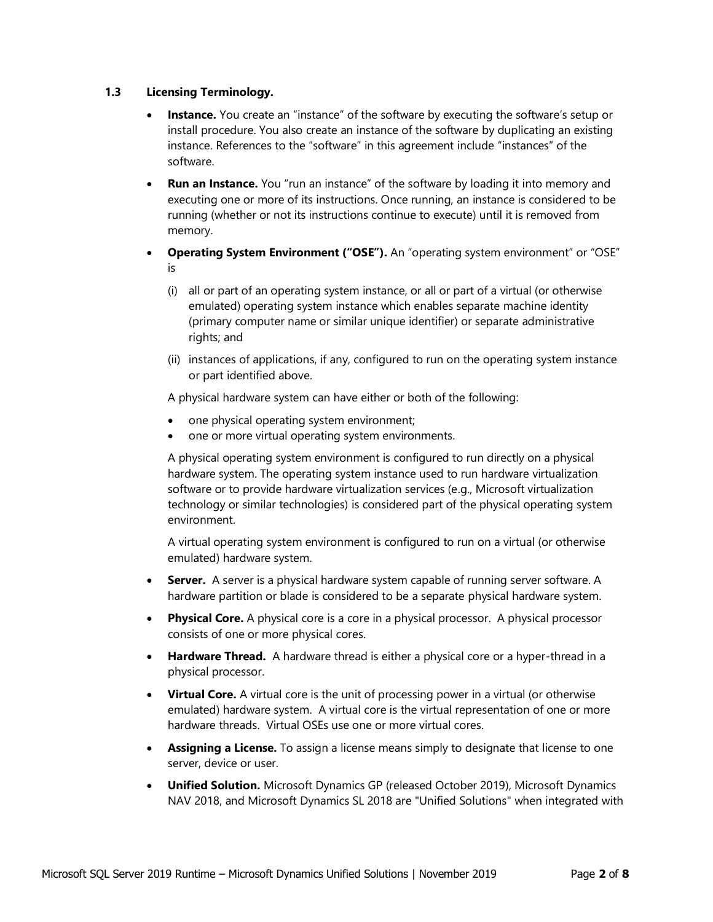# **1.3 Licensing Terminology.**

- **Instance.** You create an "instance" of the software by executing the software's setup or install procedure. You also create an instance of the software by duplicating an existing instance. References to the "software" in this agreement include "instances" of the software.
- **Run an Instance.** You "run an instance" of the software by loading it into memory and executing one or more of its instructions. Once running, an instance is considered to be running (whether or not its instructions continue to execute) until it is removed from memory.
- **Operating System Environment ("OSE").** An "operating system environment" or "OSE" is
	- (i) all or part of an operating system instance, or all or part of a virtual (or otherwise emulated) operating system instance which enables separate machine identity (primary computer name or similar unique identifier) or separate administrative rights; and
	- (ii) instances of applications, if any, configured to run on the operating system instance or part identified above.

A physical hardware system can have either or both of the following:

- one physical operating system environment;
- one or more virtual operating system environments.

A physical operating system environment is configured to run directly on a physical hardware system. The operating system instance used to run hardware virtualization software or to provide hardware virtualization services (e.g., Microsoft virtualization technology or similar technologies) is considered part of the physical operating system environment.

A virtual operating system environment is configured to run on a virtual (or otherwise emulated) hardware system.

- **Server.** A server is a physical hardware system capable of running server software. A hardware partition or blade is considered to be a separate physical hardware system.
- **Physical Core.** A physical core is a core in a physical processor. A physical processor consists of one or more physical cores.
- **Hardware Thread.** A hardware thread is either a physical core or a hyper-thread in a physical processor.
- **Virtual Core.** A virtual core is the unit of processing power in a virtual (or otherwise emulated) hardware system. A virtual core is the virtual representation of one or more hardware threads. Virtual OSEs use one or more virtual cores.
- **Assigning a License.** To assign a license means simply to designate that license to one server, device or user.
- **Unified Solution.** Microsoft Dynamics GP (released October 2019), Microsoft Dynamics NAV 2018, and Microsoft Dynamics SL 2018 are "Unified Solutions" when integrated with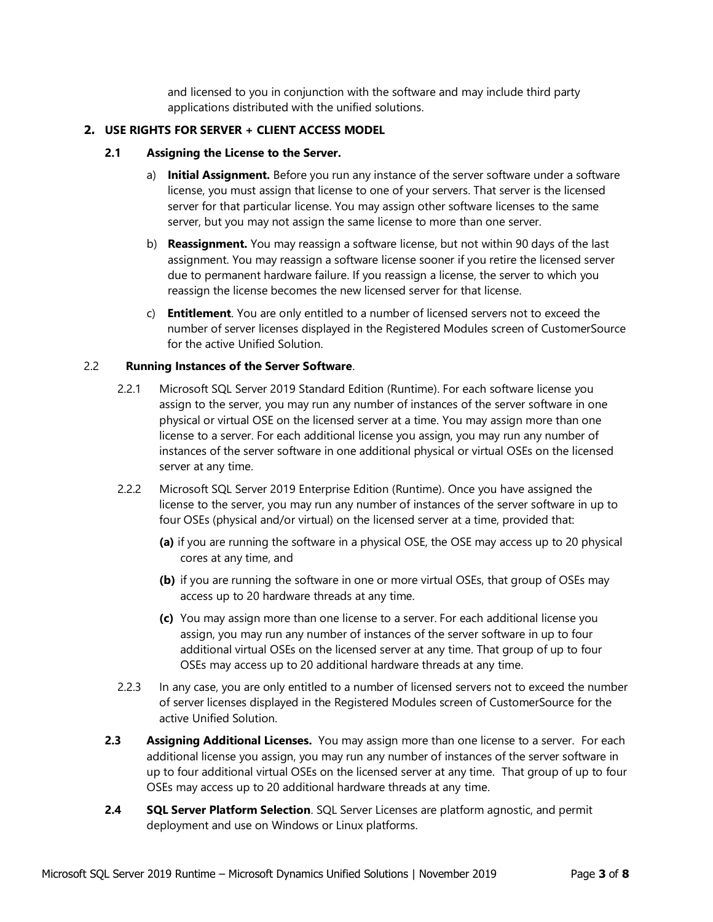and licensed to you in conjunction with the software and may include third party applications distributed with the unified solutions.

## **2. USE RIGHTS FOR SERVER + CLIENT ACCESS MODEL**

## **2.1 Assigning the License to the Server.**

- a) **Initial Assignment.** Before you run any instance of the server software under a software license, you must assign that license to one of your servers. That server is the licensed server for that particular license. You may assign other software licenses to the same server, but you may not assign the same license to more than one server.
- b) **Reassignment.** You may reassign a software license, but not within 90 days of the last assignment. You may reassign a software license sooner if you retire the licensed server due to permanent hardware failure. If you reassign a license, the server to which you reassign the license becomes the new licensed server for that license.
- c) **Entitlement**. You are only entitled to a number of licensed servers not to exceed the number of server licenses displayed in the Registered Modules screen of CustomerSource for the active Unified Solution.

#### 2.2 **Running Instances of the Server Software**.

- 2.2.1 Microsoft SQL Server 2019 Standard Edition (Runtime). For each software license you assign to the server, you may run any number of instances of the server software in one physical or virtual OSE on the licensed server at a time. You may assign more than one license to a server. For each additional license you assign, you may run any number of instances of the server software in one additional physical or virtual OSEs on the licensed server at any time.
- 2.2.2 Microsoft SQL Server 2019 Enterprise Edition (Runtime). Once you have assigned the license to the server, you may run any number of instances of the server software in up to four OSEs (physical and/or virtual) on the licensed server at a time, provided that:
	- **(a)** if you are running the software in a physical OSE, the OSE may access up to 20 physical cores at any time, and
	- **(b)** if you are running the software in one or more virtual OSEs, that group of OSEs may access up to 20 hardware threads at any time.
	- **(c)** You may assign more than one license to a server. For each additional license you assign, you may run any number of instances of the server software in up to four additional virtual OSEs on the licensed server at any time. That group of up to four OSEs may access up to 20 additional hardware threads at any time.
- 2.2.3 In any case, you are only entitled to a number of licensed servers not to exceed the number of server licenses displayed in the Registered Modules screen of CustomerSource for the active Unified Solution.
- **2.3** Assigning Additional Licenses. You may assign more than one license to a server. For each additional license you assign, you may run any number of instances of the server software in up to four additional virtual OSEs on the licensed server at any time. That group of up to four OSEs may access up to 20 additional hardware threads at any time.
- **2.4 SQL Server Platform Selection**. SQL Server Licenses are platform agnostic, and permit deployment and use on Windows or Linux platforms.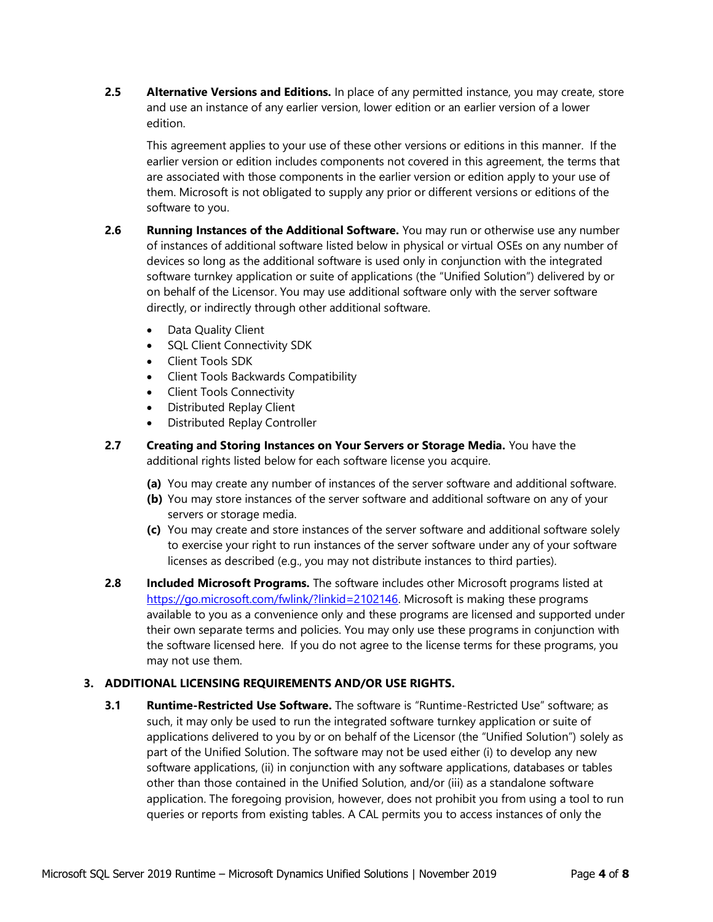**2.5 Alternative Versions and Editions.** In place of any permitted instance, you may create, store and use an instance of any earlier version, lower edition or an earlier version of a lower edition.

This agreement applies to your use of these other versions or editions in this manner. If the earlier version or edition includes components not covered in this agreement, the terms that are associated with those components in the earlier version or edition apply to your use of them. Microsoft is not obligated to supply any prior or different versions or editions of the software to you.

- **2.6 Running Instances of the Additional Software.** You may run or otherwise use any number of instances of additional software listed below in physical or virtual OSEs on any number of devices so long as the additional software is used only in conjunction with the integrated software turnkey application or suite of applications (the "Unified Solution") delivered by or on behalf of the Licensor. You may use additional software only with the server software directly, or indirectly through other additional software.
	- Data Quality Client
	- SQL Client Connectivity SDK
	- Client Tools SDK
	- Client Tools Backwards Compatibility
	- Client Tools Connectivity
	- Distributed Replay Client
	- Distributed Replay Controller
- **2.7 Creating and Storing Instances on Your Servers or Storage Media.** You have the additional rights listed below for each software license you acquire.
	- **(a)** You may create any number of instances of the server software and additional software.
	- **(b)** You may store instances of the server software and additional software on any of your servers or storage media.
	- **(c)** You may create and store instances of the server software and additional software solely to exercise your right to run instances of the server software under any of your software licenses as described (e.g., you may not distribute instances to third parties).
- **2.8 Included Microsoft Programs.** The software includes other Microsoft programs listed at [https://go.microsoft.com/fwlink/?linkid=2102146.](https://go.microsoft.com/fwlink/?linkid=2102146) Microsoft is making these programs available to you as a convenience only and these programs are licensed and supported under their own separate terms and policies. You may only use these programs in conjunction with the software licensed here. If you do not agree to the license terms for these programs, you may not use them.

# **3. ADDITIONAL LICENSING REQUIREMENTS AND/OR USE RIGHTS.**

**3.1 Runtime-Restricted Use Software.** The software is "Runtime-Restricted Use" software; as such, it may only be used to run the integrated software turnkey application or suite of applications delivered to you by or on behalf of the Licensor (the "Unified Solution") solely as part of the Unified Solution. The software may not be used either (i) to develop any new software applications, (ii) in conjunction with any software applications, databases or tables other than those contained in the Unified Solution, and/or (iii) as a standalone software application. The foregoing provision, however, does not prohibit you from using a tool to run queries or reports from existing tables. A CAL permits you to access instances of only the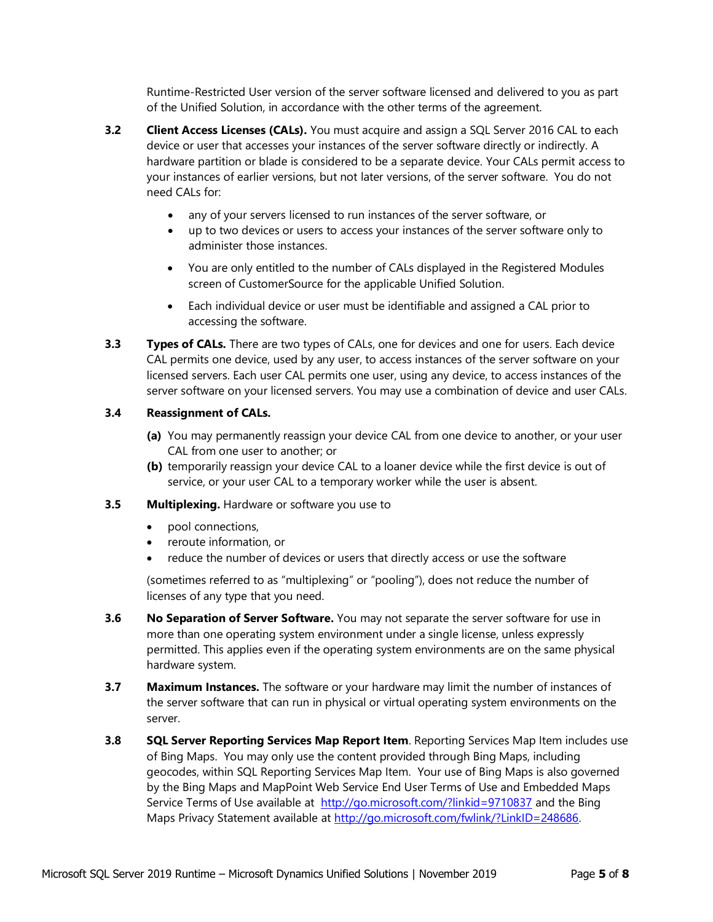Runtime-Restricted User version of the server software licensed and delivered to you as part of the Unified Solution, in accordance with the other terms of the agreement.

- **3.2 Client Access Licenses (CALs).** You must acquire and assign a SQL Server 2016 CAL to each device or user that accesses your instances of the server software directly or indirectly. A hardware partition or blade is considered to be a separate device. Your CALs permit access to your instances of earlier versions, but not later versions, of the server software. You do not need CALs for:
	- any of your servers licensed to run instances of the server software, or
	- up to two devices or users to access your instances of the server software only to administer those instances.
	- You are only entitled to the number of CALs displayed in the Registered Modules screen of CustomerSource for the applicable Unified Solution.
	- Each individual device or user must be identifiable and assigned a CAL prior to accessing the software.
- **3.3 Types of CALs.** There are two types of CALs, one for devices and one for users. Each device CAL permits one device, used by any user, to access instances of the server software on your licensed servers. Each user CAL permits one user, using any device, to access instances of the server software on your licensed servers. You may use a combination of device and user CALs.

# **3.4 Reassignment of CALs.**

- **(a)** You may permanently reassign your device CAL from one device to another, or your user CAL from one user to another; or
- **(b)** temporarily reassign your device CAL to a loaner device while the first device is out of service, or your user CAL to a temporary worker while the user is absent.

# **3.5 Multiplexing.** Hardware or software you use to

- pool connections,
- reroute information, or
- reduce the number of devices or users that directly access or use the software

(sometimes referred to as "multiplexing" or "pooling"), does not reduce the number of licenses of any type that you need.

- **3.6 No Separation of Server Software.** You may not separate the server software for use in more than one operating system environment under a single license, unless expressly permitted. This applies even if the operating system environments are on the same physical hardware system.
- **3.7 Maximum Instances.** The software or your hardware may limit the number of instances of the server software that can run in physical or virtual operating system environments on the server.
- **3.8 SQL Server Reporting Services Map Report Item**. Reporting Services Map Item includes use of Bing Maps. You may only use the content provided through Bing Maps, including geocodes, within SQL Reporting Services Map Item. Your use of Bing Maps is also governed by the Bing Maps and MapPoint Web Service End User Terms of Use and Embedded Maps Service Terms of Use available at <http://go.microsoft.com/?linkid=9710837> and the Bing Maps Privacy Statement available at [http://go.microsoft.com/fwlink/?LinkID=248686.](http://go.microsoft.com/fwlink/?LinkID=248686)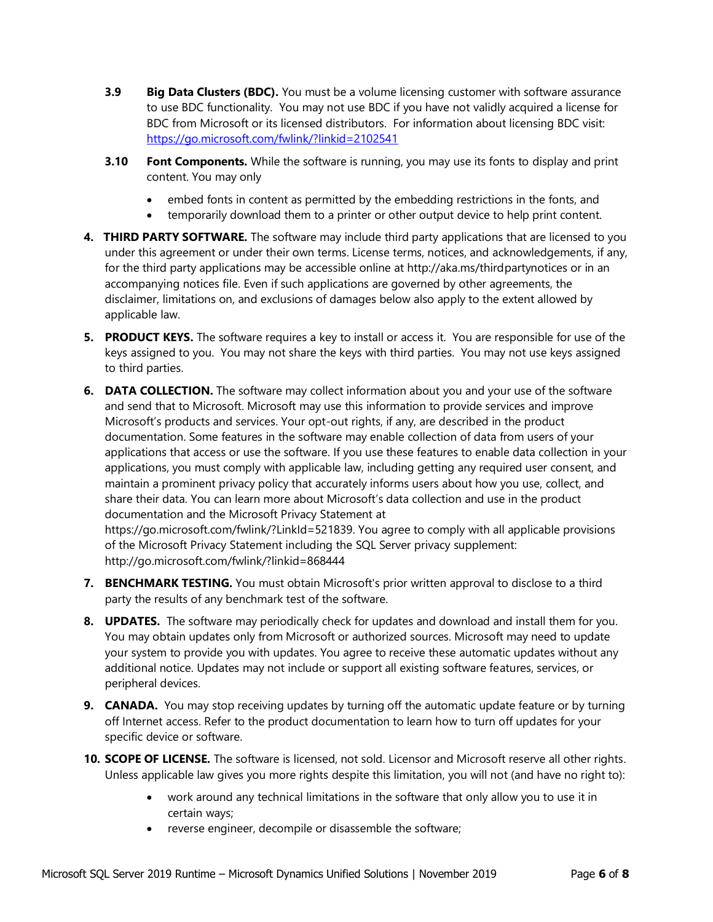- **3.9 Big Data Clusters (BDC).** You must be a volume licensing customer with software assurance to use BDC functionality. You may not use BDC if you have not validly acquired a license for BDC from Microsoft or its licensed distributors. For information about licensing BDC visit: <https://go.microsoft.com/fwlink/?linkid=2102541>
- **3.10 Font Components.** While the software is running, you may use its fonts to display and print content. You may only
	- embed fonts in content as permitted by the embedding restrictions in the fonts, and
	- temporarily download them to a printer or other output device to help print content.
- **4. THIRD PARTY SOFTWARE.** The software may include third party applications that are licensed to you under this agreement or under their own terms. License terms, notices, and acknowledgements, if any, for the third party applications may be accessible online at http://aka.ms/thirdpartynotices or in an accompanying notices file. Even if such applications are governed by other agreements, the disclaimer, limitations on, and exclusions of damages below also apply to the extent allowed by applicable law.
- **5. PRODUCT KEYS.** The software requires a key to install or access it. You are responsible for use of the keys assigned to you. You may not share the keys with third parties. You may not use keys assigned to third parties.
- **6. DATA COLLECTION.** The software may collect information about you and your use of the software and send that to Microsoft. Microsoft may use this information to provide services and improve Microsoft's products and services. Your opt-out rights, if any, are described in the product documentation. Some features in the software may enable collection of data from users of your applications that access or use the software. If you use these features to enable data collection in your applications, you must comply with applicable law, including getting any required user consent, and maintain a prominent privacy policy that accurately informs users about how you use, collect, and share their data. You can learn more about Microsoft's data collection and use in the product documentation and the Microsoft Privacy Statement at https://go.microsoft.com/fwlink/?LinkId=521839. You agree to comply with all applicable provisions

of the Microsoft Privacy Statement including the SQL Server privacy supplement: <http://go.microsoft.com/fwlink/?linkid=868444>

- **7. BENCHMARK TESTING.** You must obtain Microsoft's prior written approval to disclose to a third party the results of any benchmark test of the software.
- **8. UPDATES.** The software may periodically check for updates and download and install them for you. You may obtain updates only from Microsoft or authorized sources. Microsoft may need to update your system to provide you with updates. You agree to receive these automatic updates without any additional notice. Updates may not include or support all existing software features, services, or peripheral devices.
- **9. CANADA.** You may stop receiving updates by turning off the automatic update feature or by turning off Internet access. Refer to the product documentation to learn how to turn off updates for your specific device or software.
- **10. SCOPE OF LICENSE.** The software is licensed, not sold. Licensor and Microsoft reserve all other rights. Unless applicable law gives you more rights despite this limitation, you will not (and have no right to):
	- work around any technical limitations in the software that only allow you to use it in certain ways;
	- reverse engineer, decompile or disassemble the software;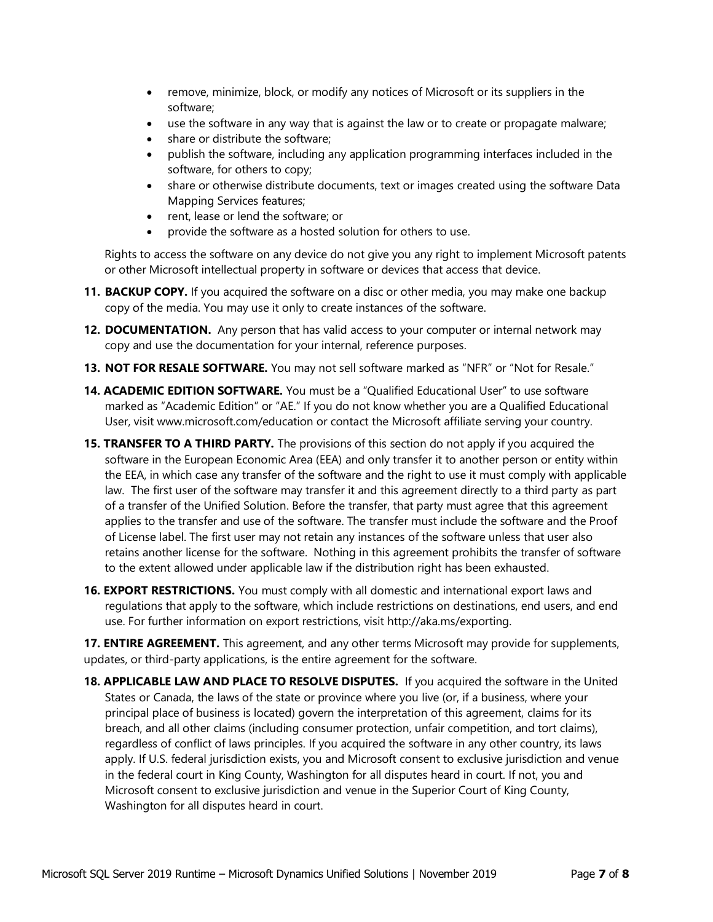- remove, minimize, block, or modify any notices of Microsoft or its suppliers in the software;
- use the software in any way that is against the law or to create or propagate malware;
- share or distribute the software;
- publish the software, including any application programming interfaces included in the software, for others to copy;
- share or otherwise distribute documents, text or images created using the software Data Mapping Services features;
- rent, lease or lend the software; or
- provide the software as a hosted solution for others to use.

Rights to access the software on any device do not give you any right to implement Microsoft patents or other Microsoft intellectual property in software or devices that access that device.

- 11. **BACKUP COPY.** If you acquired the software on a disc or other media, you may make one backup copy of the media. You may use it only to create instances of the software.
- **12. DOCUMENTATION.** Any person that has valid access to your computer or internal network may copy and use the documentation for your internal, reference purposes.
- **13. NOT FOR RESALE SOFTWARE.** You may not sell software marked as "NFR" or "Not for Resale."
- **14. ACADEMIC EDITION SOFTWARE.** You must be a "Qualified Educational User" to use software marked as "Academic Edition" or "AE." If you do not know whether you are a Qualified Educational User, visit www.microsoft.com/education or contact the Microsoft affiliate serving your country.
- **15. TRANSFER TO A THIRD PARTY.** The provisions of this section do not apply if you acquired the software in the European Economic Area (EEA) and only transfer it to another person or entity within the EEA, in which case any transfer of the software and the right to use it must comply with applicable law. The first user of the software may transfer it and this agreement directly to a third party as part of a transfer of the Unified Solution. Before the transfer, that party must agree that this agreement applies to the transfer and use of the software. The transfer must include the software and the Proof of License label. The first user may not retain any instances of the software unless that user also retains another license for the software. Nothing in this agreement prohibits the transfer of software to the extent allowed under applicable law if the distribution right has been exhausted.
- **16. EXPORT RESTRICTIONS.** You must comply with all domestic and international export laws and regulations that apply to the software, which include restrictions on destinations, end users, and end use. For further information on export restrictions, visit http://aka.ms/exporting.

**17. ENTIRE AGREEMENT.** This agreement, and any other terms Microsoft may provide for supplements, updates, or third-party applications, is the entire agreement for the software.

**18. APPLICABLE LAW AND PLACE TO RESOLVE DISPUTES.** If you acquired the software in the United States or Canada, the laws of the state or province where you live (or, if a business, where your principal place of business is located) govern the interpretation of this agreement, claims for its breach, and all other claims (including consumer protection, unfair competition, and tort claims), regardless of conflict of laws principles. If you acquired the software in any other country, its laws apply. If U.S. federal jurisdiction exists, you and Microsoft consent to exclusive jurisdiction and venue in the federal court in King County, Washington for all disputes heard in court. If not, you and Microsoft consent to exclusive jurisdiction and venue in the Superior Court of King County, Washington for all disputes heard in court.